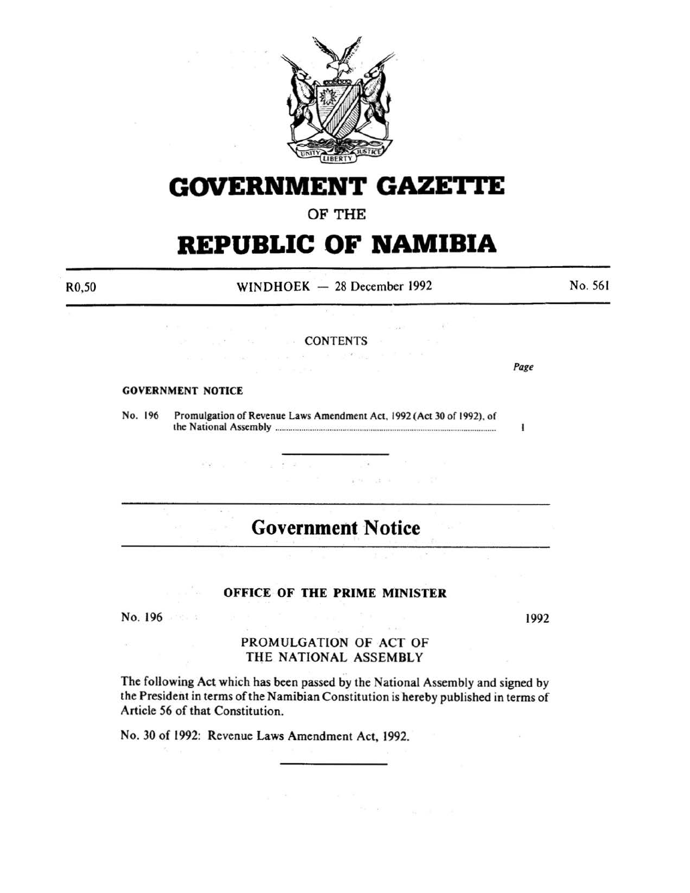

# **GOVERNMENT GAZE'rtE**

### OF THE

# **REPUBLIC OF NAMIBIA**

R0,50

 $WINDHOEK - 28 December 1992$ 

No. 561

#### **CONTENTS** and the company of

#### GOVERNMENT NOTICE

 $\mathbb{P}^1 \times \mathbb{P}^2$ 

and the same

No. 196 Promulgation of Revenue Laws Amendment Act, 1992 (Act 30 of 1992). of the National Assembly ..................................................................................................... .

 $\label{eq:2.1} \langle \hat{\mathbf{r}}^{\prime} \hat{\mathbf{w}} \rangle_{\mathcal{N}} = \langle \mathbf{x}^{\prime} \rangle_{\mathcal{N}} = \langle \mathbf{x}^{\prime} \rangle_{\mathcal{N}} = \langle \mathbf{x}^{\prime} \rangle_{\mathcal{N}} = \langle \mathbf{x}^{\prime} \rangle_{\mathcal{N}} = \langle \mathbf{x}^{\prime} \rangle_{\mathcal{N}} = \langle \mathbf{x}^{\prime} \rangle_{\mathcal{N}} = \langle \mathbf{x}^{\prime} \rangle_{\mathcal{N}} = \langle \mathbf{x}^{\prime} \rangle_{\mathcal{N}} = \langle \mathbf{x}^{\prime}$ 

# **Government Notice**

 $\sim$ 

produce to the control

 $A = AA$ 

 $\mathcal{O}(-10)$ 

#### OFFICE OF THE PRIME MINISTER

 $\begin{array}{ccccccccc} \mathbb{P} & \mathbb{P} & \mathbb{P} & \mathbb{P} & \mathbb{P} & \mathbb{P} & \mathbb{P} & \mathbb{P} & \mathbb{P} & \mathbb{P} & \mathbb{P} & \mathbb{P} & \mathbb{P} & \mathbb{P} & \mathbb{P} & \mathbb{P} & \mathbb{P} & \mathbb{P} & \mathbb{P} & \mathbb{P} & \mathbb{P} & \mathbb{P} & \mathbb{P} & \mathbb{P} & \mathbb{P} & \mathbb{P} & \mathbb{P} & \mathbb{P} & \mathbb{P} & \mathbb{P} & \$ 

No. 196

 $\alpha$ 

1992

#### PROMULGATION OF ACT OF THE NATIONAL ASSEMBLY

The following Act which has been passed by the National Assembly and signed by the President in terms of the Namibian Constitution is hereby published in terms of Article 56 of that Constitution.

No. 30 of 1992: Revenue Laws Amendment Act, 1992.

*Page* 

 $\mathbf{I}$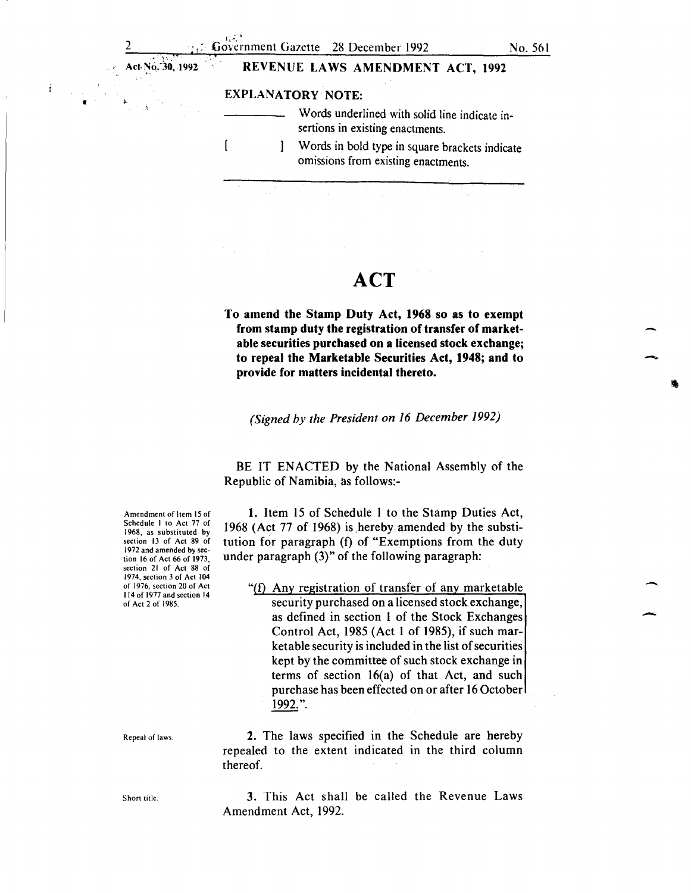$\overline{\phantom{a}}$ 

-

-

Act· N0,:3o, 1992

•

#### REVENUE LAWS AMENDMENT ACT, 1992

#### EXPLANATORY NOTE:

 $\mathsf{I}$ 

- Words underlined with solid line indicate insertions in existing enactments.
	- Words in bold type in square brackets indicate 1 omissions from existing enactments.

## **ACT**

To amend the Stamp Duty Act, 1968 so as to exempt from stamp duty the registration of transfer of marketable securities purchased on a licensed stock exchange; to repeal the Marketable Securities Act, 1948; and to provide for matters incidental thereto.

*(Signed by the President on 16 December 1992)* 

BE IT ENACTED by the National Assembly of the Republic of Namibia, as follows:-

1. Item 15 of Schedule I to the Stamp Duties Act, 1968 (Act 77 of 1968) is hereby amended by the substitution for paragraph (f) of "Exemptions from the duty under paragraph (3)" of the following paragraph:

" $(f)$  Any registration of transfer of any marketable security purchased on a licensed stock exchange, as defined in section I of the Stock Exchanges Control Act, 1985 (Act I of 1985), if such marketable security is included in the list of securities kept by the committee of such stock exchange in terms of section 16(a) of that Act, and such purchase has been effected on or after 16 October 1992. ".

2. The laws specified in the Schedule are hereby repealed to the extent indicated in the third column thereof.

3. This Act shall be called the Revenue Laws Amendment Act, 1992.

Amendment of Item 15 of Schedule I to Act 77 of 1968, as substituted by section 13 of Act 89 of 1972 and amended by section 16 of Act 66 of 1973, section 21 of Act 88 of 1974, section 3 of Act 104 of 1976, section 20 of Act 114 of 1977 and section 14 of Act 2 of 1985.

Repeal of laws.

Short title.